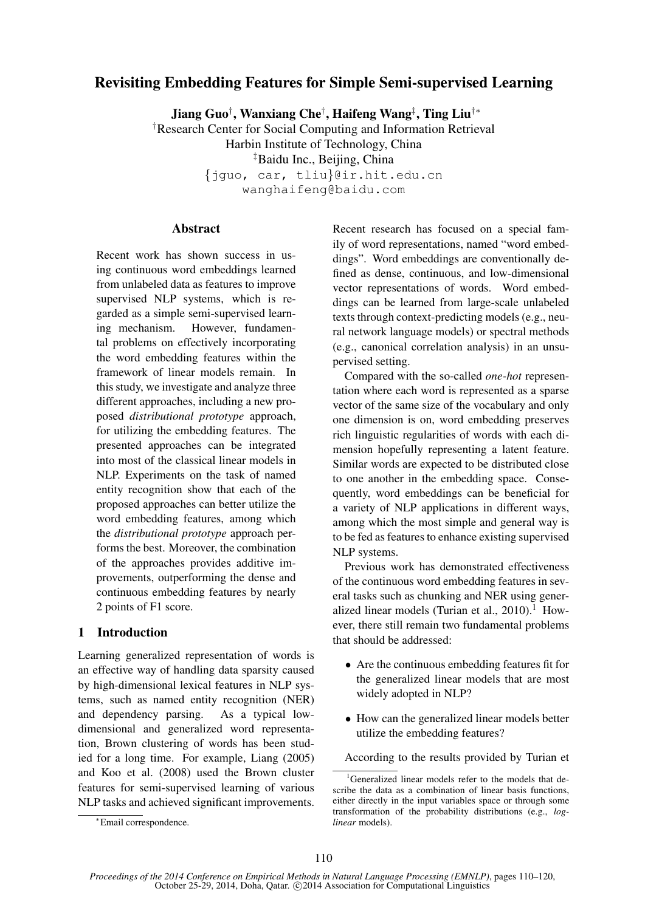# Revisiting Embedding Features for Simple Semi-supervised Learning

Jiang Guo† , Wanxiang Che† , Haifeng Wang‡ , Ting Liu†∗

†Research Center for Social Computing and Information Retrieval

Harbin Institute of Technology, China

‡Baidu Inc., Beijing, China

{jguo, car, tliu}@ir.hit.edu.cn

wanghaifeng@baidu.com

## **Abstract**

Recent work has shown success in using continuous word embeddings learned from unlabeled data as features to improve supervised NLP systems, which is regarded as a simple semi-supervised learning mechanism. However, fundamental problems on effectively incorporating the word embedding features within the framework of linear models remain. In this study, we investigate and analyze three different approaches, including a new proposed *distributional prototype* approach, for utilizing the embedding features. The presented approaches can be integrated into most of the classical linear models in NLP. Experiments on the task of named entity recognition show that each of the proposed approaches can better utilize the word embedding features, among which the *distributional prototype* approach performs the best. Moreover, the combination of the approaches provides additive improvements, outperforming the dense and continuous embedding features by nearly 2 points of F1 score.

# 1 Introduction

Learning generalized representation of words is an effective way of handling data sparsity caused by high-dimensional lexical features in NLP systems, such as named entity recognition (NER) and dependency parsing. As a typical lowdimensional and generalized word representation, Brown clustering of words has been studied for a long time. For example, Liang (2005) and Koo et al. (2008) used the Brown cluster features for semi-supervised learning of various NLP tasks and achieved significant improvements. Recent research has focused on a special family of word representations, named "word embeddings". Word embeddings are conventionally defined as dense, continuous, and low-dimensional vector representations of words. Word embeddings can be learned from large-scale unlabeled texts through context-predicting models (e.g., neural network language models) or spectral methods (e.g., canonical correlation analysis) in an unsupervised setting.

Compared with the so-called *one-hot* representation where each word is represented as a sparse vector of the same size of the vocabulary and only one dimension is on, word embedding preserves rich linguistic regularities of words with each dimension hopefully representing a latent feature. Similar words are expected to be distributed close to one another in the embedding space. Consequently, word embeddings can be beneficial for a variety of NLP applications in different ways, among which the most simple and general way is to be fed as features to enhance existing supervised NLP systems.

Previous work has demonstrated effectiveness of the continuous word embedding features in several tasks such as chunking and NER using generalized linear models (Turian et al.,  $2010$ ).<sup>1</sup> However, there still remain two fundamental problems that should be addressed:

- Are the continuous embedding features fit for the generalized linear models that are most widely adopted in NLP?
- How can the generalized linear models better utilize the embedding features?

According to the results provided by Turian et

<sup>∗</sup>Email correspondence.

<sup>&</sup>lt;sup>1</sup>Generalized linear models refer to the models that describe the data as a combination of linear basis functions, either directly in the input variables space or through some transformation of the probability distributions (e.g., *loglinear* models).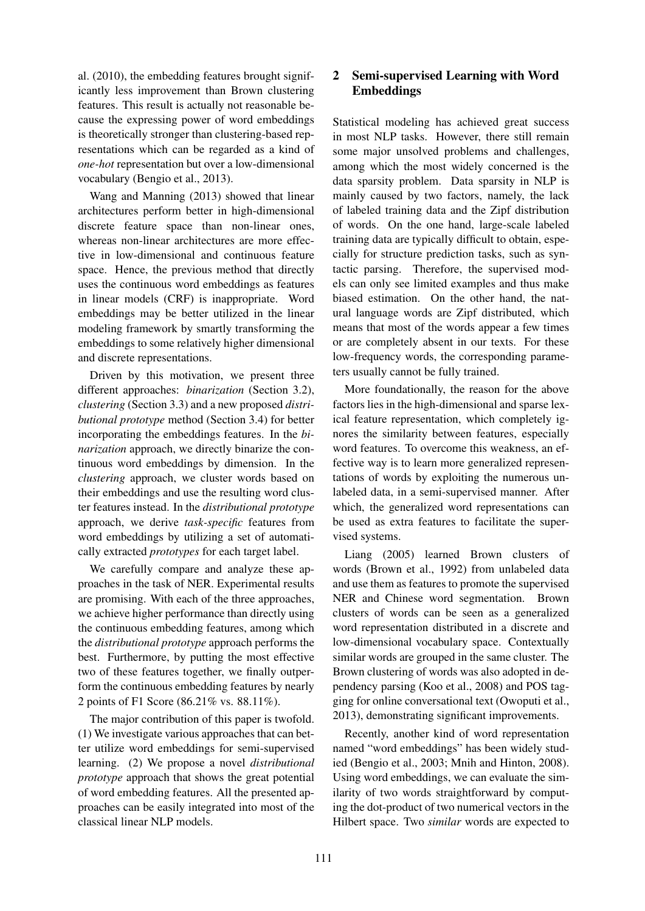al. (2010), the embedding features brought significantly less improvement than Brown clustering features. This result is actually not reasonable because the expressing power of word embeddings is theoretically stronger than clustering-based representations which can be regarded as a kind of *one-hot* representation but over a low-dimensional vocabulary (Bengio et al., 2013).

Wang and Manning (2013) showed that linear architectures perform better in high-dimensional discrete feature space than non-linear ones, whereas non-linear architectures are more effective in low-dimensional and continuous feature space. Hence, the previous method that directly uses the continuous word embeddings as features in linear models (CRF) is inappropriate. Word embeddings may be better utilized in the linear modeling framework by smartly transforming the embeddings to some relatively higher dimensional and discrete representations.

Driven by this motivation, we present three different approaches: *binarization* (Section 3.2), *clustering* (Section 3.3) and a new proposed *distributional prototype* method (Section 3.4) for better incorporating the embeddings features. In the *binarization* approach, we directly binarize the continuous word embeddings by dimension. In the *clustering* approach, we cluster words based on their embeddings and use the resulting word cluster features instead. In the *distributional prototype* approach, we derive *task-specific* features from word embeddings by utilizing a set of automatically extracted *prototypes* for each target label.

We carefully compare and analyze these approaches in the task of NER. Experimental results are promising. With each of the three approaches, we achieve higher performance than directly using the continuous embedding features, among which the *distributional prototype* approach performs the best. Furthermore, by putting the most effective two of these features together, we finally outperform the continuous embedding features by nearly 2 points of F1 Score (86.21% vs. 88.11%).

The major contribution of this paper is twofold. (1) We investigate various approaches that can better utilize word embeddings for semi-supervised learning. (2) We propose a novel *distributional prototype* approach that shows the great potential of word embedding features. All the presented approaches can be easily integrated into most of the classical linear NLP models.

# 2 Semi-supervised Learning with Word Embeddings

Statistical modeling has achieved great success in most NLP tasks. However, there still remain some major unsolved problems and challenges, among which the most widely concerned is the data sparsity problem. Data sparsity in NLP is mainly caused by two factors, namely, the lack of labeled training data and the Zipf distribution of words. On the one hand, large-scale labeled training data are typically difficult to obtain, especially for structure prediction tasks, such as syntactic parsing. Therefore, the supervised models can only see limited examples and thus make biased estimation. On the other hand, the natural language words are Zipf distributed, which means that most of the words appear a few times or are completely absent in our texts. For these low-frequency words, the corresponding parameters usually cannot be fully trained.

More foundationally, the reason for the above factors lies in the high-dimensional and sparse lexical feature representation, which completely ignores the similarity between features, especially word features. To overcome this weakness, an effective way is to learn more generalized representations of words by exploiting the numerous unlabeled data, in a semi-supervised manner. After which, the generalized word representations can be used as extra features to facilitate the supervised systems.

Liang (2005) learned Brown clusters of words (Brown et al., 1992) from unlabeled data and use them as features to promote the supervised NER and Chinese word segmentation. Brown clusters of words can be seen as a generalized word representation distributed in a discrete and low-dimensional vocabulary space. Contextually similar words are grouped in the same cluster. The Brown clustering of words was also adopted in dependency parsing (Koo et al., 2008) and POS tagging for online conversational text (Owoputi et al., 2013), demonstrating significant improvements.

Recently, another kind of word representation named "word embeddings" has been widely studied (Bengio et al., 2003; Mnih and Hinton, 2008). Using word embeddings, we can evaluate the similarity of two words straightforward by computing the dot-product of two numerical vectors in the Hilbert space. Two *similar* words are expected to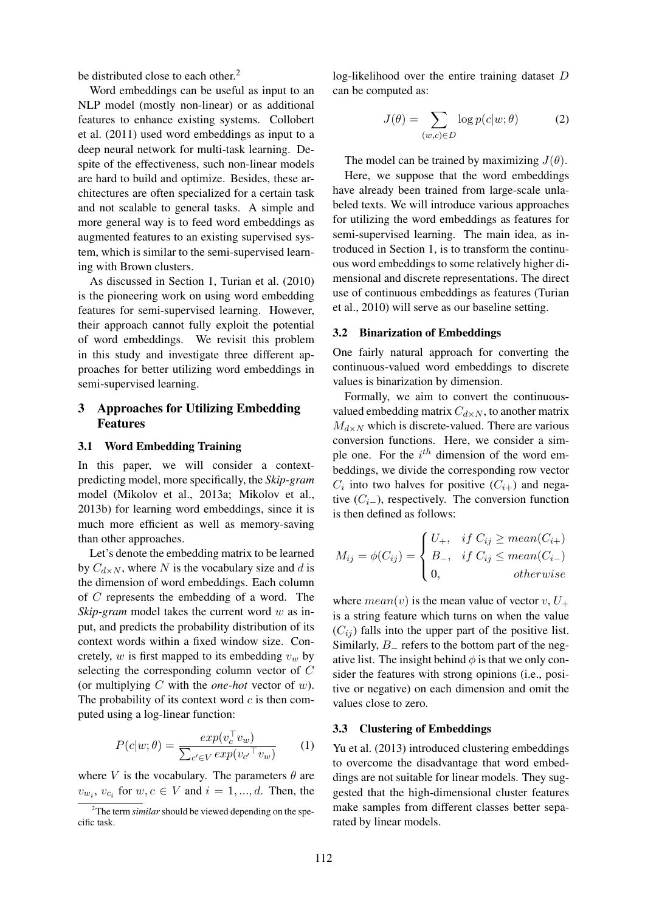be distributed close to each other.<sup>2</sup>

Word embeddings can be useful as input to an NLP model (mostly non-linear) or as additional features to enhance existing systems. Collobert et al. (2011) used word embeddings as input to a deep neural network for multi-task learning. Despite of the effectiveness, such non-linear models are hard to build and optimize. Besides, these architectures are often specialized for a certain task and not scalable to general tasks. A simple and more general way is to feed word embeddings as augmented features to an existing supervised system, which is similar to the semi-supervised learning with Brown clusters.

As discussed in Section 1, Turian et al. (2010) is the pioneering work on using word embedding features for semi-supervised learning. However, their approach cannot fully exploit the potential of word embeddings. We revisit this problem in this study and investigate three different approaches for better utilizing word embeddings in semi-supervised learning.

# 3 Approaches for Utilizing Embedding Features

### 3.1 Word Embedding Training

In this paper, we will consider a contextpredicting model, more specifically, the *Skip-gram* model (Mikolov et al., 2013a; Mikolov et al., 2013b) for learning word embeddings, since it is much more efficient as well as memory-saving than other approaches.

Let's denote the embedding matrix to be learned by  $C_{d\times N}$ , where N is the vocabulary size and d is the dimension of word embeddings. Each column of C represents the embedding of a word. The *Skip-gram* model takes the current word w as input, and predicts the probability distribution of its context words within a fixed window size. Concretely,  $w$  is first mapped to its embedding  $v_w$  by selecting the corresponding column vector of C (or multiplying C with the *one-hot* vector of w). The probability of its context word  $c$  is then computed using a log-linear function:

$$
P(c|w; \theta) = \frac{exp(v_c^{\top} v_w)}{\sum_{c' \in V} exp(v_{c'}^{\top} v_w)}
$$
 (1)

where V is the vocabulary. The parameters  $\theta$  are  $v_{w_i}, v_{c_i}$  for  $w, c \in V$  and  $i = 1, ..., d$ . Then, the

log-likelihood over the entire training dataset D can be computed as:

$$
J(\theta) = \sum_{(w,c)\in D} \log p(c|w;\theta)
$$
 (2)

The model can be trained by maximizing  $J(\theta)$ .

Here, we suppose that the word embeddings have already been trained from large-scale unlabeled texts. We will introduce various approaches for utilizing the word embeddings as features for semi-supervised learning. The main idea, as introduced in Section 1, is to transform the continuous word embeddings to some relatively higher dimensional and discrete representations. The direct use of continuous embeddings as features (Turian et al., 2010) will serve as our baseline setting.

#### 3.2 Binarization of Embeddings

One fairly natural approach for converting the continuous-valued word embeddings to discrete values is binarization by dimension.

Formally, we aim to convert the continuousvalued embedding matrix  $C_{d\times N}$ , to another matrix  $M_{d\times N}$  which is discrete-valued. There are various conversion functions. Here, we consider a simple one. For the  $i<sup>th</sup>$  dimension of the word embeddings, we divide the corresponding row vector  $C_i$  into two halves for positive  $(C_{i+})$  and negative  $(C_i)$ , respectively. The conversion function is then defined as follows:

$$
M_{ij} = \phi(C_{ij}) = \begin{cases} U_+, & if \ C_{ij} \geq mean(C_{i+}) \\ B_-, & if \ C_{ij} \leq mean(C_{i-}) \\ 0, & otherwise \end{cases}
$$

where  $mean(v)$  is the mean value of vector  $v, U_+$ is a string feature which turns on when the value  $(C_{ij})$  falls into the upper part of the positive list. Similarly,  $B_$  refers to the bottom part of the negative list. The insight behind  $\phi$  is that we only consider the features with strong opinions (i.e., positive or negative) on each dimension and omit the values close to zero.

### 3.3 Clustering of Embeddings

Yu et al. (2013) introduced clustering embeddings to overcome the disadvantage that word embeddings are not suitable for linear models. They suggested that the high-dimensional cluster features make samples from different classes better separated by linear models.

<sup>&</sup>lt;sup>2</sup>The term *similar* should be viewed depending on the specific task.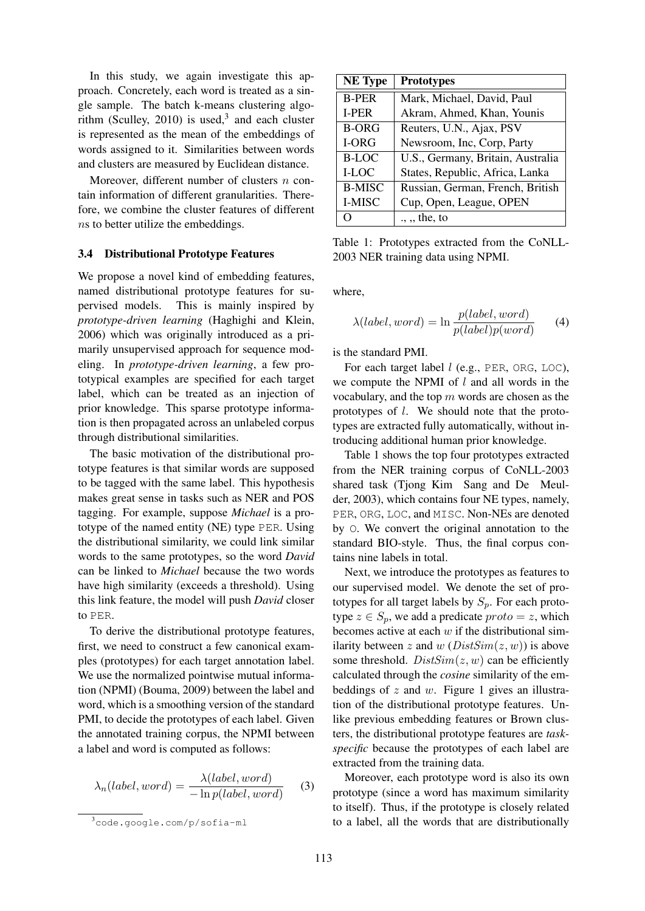In this study, we again investigate this approach. Concretely, each word is treated as a single sample. The batch k-means clustering algorithm (Sculley, 2010) is used,<sup>3</sup> and each cluster is represented as the mean of the embeddings of words assigned to it. Similarities between words and clusters are measured by Euclidean distance.

Moreover, different number of clusters  $n$  contain information of different granularities. Therefore, we combine the cluster features of different ns to better utilize the embeddings.

#### 3.4 Distributional Prototype Features

We propose a novel kind of embedding features, named distributional prototype features for supervised models. This is mainly inspired by *prototype-driven learning* (Haghighi and Klein, 2006) which was originally introduced as a primarily unsupervised approach for sequence modeling. In *prototype-driven learning*, a few prototypical examples are specified for each target label, which can be treated as an injection of prior knowledge. This sparse prototype information is then propagated across an unlabeled corpus through distributional similarities.

The basic motivation of the distributional prototype features is that similar words are supposed to be tagged with the same label. This hypothesis makes great sense in tasks such as NER and POS tagging. For example, suppose *Michael* is a prototype of the named entity (NE) type PER. Using the distributional similarity, we could link similar words to the same prototypes, so the word *David* can be linked to *Michael* because the two words have high similarity (exceeds a threshold). Using this link feature, the model will push *David* closer to PER.

To derive the distributional prototype features, first, we need to construct a few canonical examples (prototypes) for each target annotation label. We use the normalized pointwise mutual information (NPMI) (Bouma, 2009) between the label and word, which is a smoothing version of the standard PMI, to decide the prototypes of each label. Given the annotated training corpus, the NPMI between a label and word is computed as follows:

$$
\lambda_n(label, word) = \frac{\lambda(label, word)}{-\ln p(label, word)} \tag{3}
$$

| <b>NE</b> Type | <b>Prototypes</b>                 |  |
|----------------|-----------------------------------|--|
| <b>B-PER</b>   | Mark, Michael, David, Paul        |  |
| I-PER          | Akram, Ahmed, Khan, Younis        |  |
| <b>B-ORG</b>   | Reuters, U.N., Ajax, PSV          |  |
| I-ORG          | Newsroom, Inc, Corp, Party        |  |
| <b>B-LOC</b>   | U.S., Germany, Britain, Australia |  |
| I-LOC          | States, Republic, Africa, Lanka   |  |
| <b>B-MISC</b>  | Russian, German, French, British  |  |
| I-MISC         | Cup, Open, League, OPEN           |  |
|                | $\ldots$ , the, to                |  |

Table 1: Prototypes extracted from the CoNLL-2003 NER training data using NPMI.

where,

$$
\lambda(label,word) = \ln \frac{p(label,word)}{p(label)p(word)} \tag{4}
$$

is the standard PMI.

For each target label  $l$  (e.g., PER, ORG, LOC), we compute the NPMI of  $l$  and all words in the vocabulary, and the top  $m$  words are chosen as the prototypes of l. We should note that the prototypes are extracted fully automatically, without introducing additional human prior knowledge.

Table 1 shows the top four prototypes extracted from the NER training corpus of CoNLL-2003 shared task (Tjong Kim Sang and De Meulder, 2003), which contains four NE types, namely, PER, ORG, LOC, and MISC. Non-NEs are denoted by O. We convert the original annotation to the standard BIO-style. Thus, the final corpus contains nine labels in total.

Next, we introduce the prototypes as features to our supervised model. We denote the set of prototypes for all target labels by  $S_p$ . For each prototype  $z \in S_p$ , we add a predicate  $proto = z$ , which becomes active at each  $w$  if the distributional similarity between z and w ( $DistSim(z, w)$ ) is above some threshold.  $DistSim(z, w)$  can be efficiently calculated through the *cosine* similarity of the embeddings of  $z$  and  $w$ . Figure 1 gives an illustration of the distributional prototype features. Unlike previous embedding features or Brown clusters, the distributional prototype features are *taskspecific* because the prototypes of each label are extracted from the training data.

Moreover, each prototype word is also its own prototype (since a word has maximum similarity to itself). Thus, if the prototype is closely related to a label, all the words that are distributionally

<sup>3</sup>code.google.com/p/sofia-ml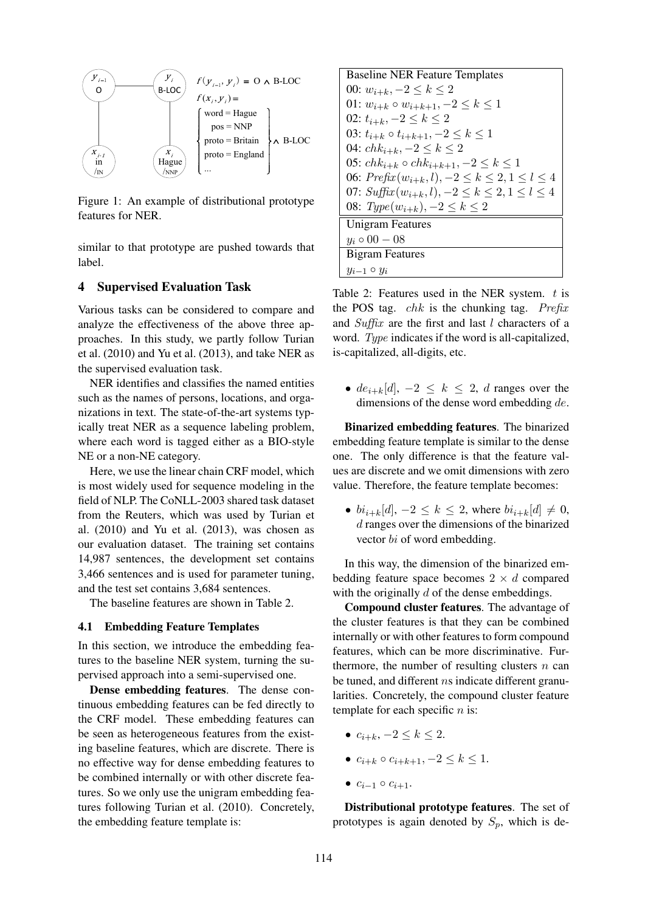

Figure 1: An example of distributional prototype features for NER.

similar to that prototype are pushed towards that label.

# 4 Supervised Evaluation Task

Various tasks can be considered to compare and analyze the effectiveness of the above three approaches. In this study, we partly follow Turian et al. (2010) and Yu et al. (2013), and take NER as the supervised evaluation task.

NER identifies and classifies the named entities such as the names of persons, locations, and organizations in text. The state-of-the-art systems typically treat NER as a sequence labeling problem, where each word is tagged either as a BIO-style NE or a non-NE category.

Here, we use the linear chain CRF model, which is most widely used for sequence modeling in the field of NLP. The CoNLL-2003 shared task dataset from the Reuters, which was used by Turian et al. (2010) and Yu et al. (2013), was chosen as our evaluation dataset. The training set contains 14,987 sentences, the development set contains 3,466 sentences and is used for parameter tuning, and the test set contains 3,684 sentences.

The baseline features are shown in Table 2.

#### 4.1 Embedding Feature Templates

In this section, we introduce the embedding features to the baseline NER system, turning the supervised approach into a semi-supervised one.

Dense embedding features. The dense continuous embedding features can be fed directly to the CRF model. These embedding features can be seen as heterogeneous features from the existing baseline features, which are discrete. There is no effective way for dense embedding features to be combined internally or with other discrete features. So we only use the unigram embedding features following Turian et al. (2010). Concretely, the embedding feature template is:

\n**BasicB** Baseline NER Feature Templates  
\n     00: 
$$
w_{i+k}
$$
,  $-2 \leq k \leq 2$   
\n     01:  $w_{i+k}$ ,  $-2 \leq k \leq 1$   
\n     02:  $t_{i+k}$ ,  $-2 \leq k \leq 2$   
\n     03:  $t_{i+k}$ ,  $-2 \leq k \leq 2$   
\n     04:  $chk_{i+k}$ ,  $-2 \leq k \leq 2$   
\n     05:  $chk_{i+k}$ ,  $-2 \leq k \leq 2$   
\n     06:  $Prefix(w_{i+k}, l)$ ,  $-2 \leq k \leq 2, 1 \leq l \leq 4$   
\n     07:  $Suffx(w_{i+k}, l)$ ,  $-2 \leq k \leq 2, 1 \leq l \leq 4$   
\n     08:  $Type(w_{i+k})$ ,  $-2 \leq k \leq 2$   
\n     **Unigram Features**  
\n      $y_i \circ 00 - 08$   
\n     **Bigram Features**  
\n      $y_{i-1} \circ y_i$ \n

Table 2: Features used in the NER system.  $t$  is the POS tag.  $chk$  is the chunking tag. Prefix and Suffix are the first and last  $l$  characters of a word. Type indicates if the word is all-capitalized, is-capitalized, all-digits, etc.

•  $de_{i+k}[d], -2 \leq k \leq 2$ , d ranges over the dimensions of the dense word embedding de.

Binarized embedding features. The binarized embedding feature template is similar to the dense one. The only difference is that the feature values are discrete and we omit dimensions with zero value. Therefore, the feature template becomes:

•  $bi_{i+k}[d], -2 \leq k \leq 2$ , where  $bi_{i+k}[d] \neq 0$ , d ranges over the dimensions of the binarized vector bi of word embedding.

In this way, the dimension of the binarized embedding feature space becomes  $2 \times d$  compared with the originally  $d$  of the dense embeddings.

Compound cluster features. The advantage of the cluster features is that they can be combined internally or with other features to form compound features, which can be more discriminative. Furthermore, the number of resulting clusters  $n$  can be tuned, and different *ns* indicate different granularities. Concretely, the compound cluster feature template for each specific  $n$  is:

- $c_{i+k}, -2 \leq k \leq 2$ .
- $c_{i+k} \circ c_{i+k+1}, -2 \leq k \leq 1.$
- $c_{i-1} \circ c_{i+1}$ .

Distributional prototype features. The set of prototypes is again denoted by  $S_p$ , which is de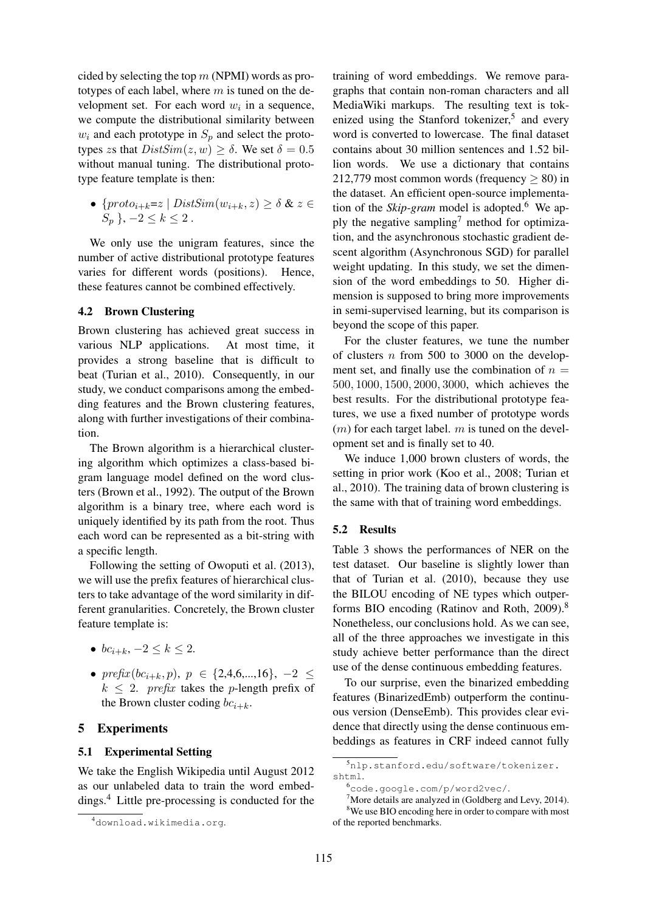cided by selecting the top  $m$  (NPMI) words as prototypes of each label, where  $m$  is tuned on the development set. For each word  $w_i$  in a sequence, we compute the distributional similarity between  $w_i$  and each prototype in  $S_p$  and select the prototypes zs that  $DistSim(z, w) \ge \delta$ . We set  $\delta = 0.5$ without manual tuning. The distributional prototype feature template is then:

•  $\{proto_{i+k}=z \mid DistSim(w_{i+k}, z) \geq \delta \& z \in$  $S_p$ ,  $-2 \leq k \leq 2$ .

We only use the unigram features, since the number of active distributional prototype features varies for different words (positions). Hence, these features cannot be combined effectively.

### 4.2 Brown Clustering

Brown clustering has achieved great success in various NLP applications. At most time, it provides a strong baseline that is difficult to beat (Turian et al., 2010). Consequently, in our study, we conduct comparisons among the embedding features and the Brown clustering features, along with further investigations of their combination.

The Brown algorithm is a hierarchical clustering algorithm which optimizes a class-based bigram language model defined on the word clusters (Brown et al., 1992). The output of the Brown algorithm is a binary tree, where each word is uniquely identified by its path from the root. Thus each word can be represented as a bit-string with a specific length.

Following the setting of Owoputi et al. (2013), we will use the prefix features of hierarchical clusters to take advantage of the word similarity in different granularities. Concretely, the Brown cluster feature template is:

- $bc_{i+k}, -2 \leq k \leq 2$ .
- prefix  $(bc_{i+k}, p)$ ,  $p \in \{2, 4, 6, ..., 16\}$ ,  $-2 \leq$  $k \leq 2$ . prefix takes the p-length prefix of the Brown cluster coding  $bc_{i+k}$ .

# 5 Experiments

#### 5.1 Experimental Setting

We take the English Wikipedia until August 2012 as our unlabeled data to train the word embeddings.<sup>4</sup> Little pre-processing is conducted for the training of word embeddings. We remove paragraphs that contain non-roman characters and all MediaWiki markups. The resulting text is tokenized using the Stanford tokenizer,<sup>5</sup> and every word is converted to lowercase. The final dataset contains about 30 million sentences and 1.52 billion words. We use a dictionary that contains 212,779 most common words (frequency  $\geq$  80) in the dataset. An efficient open-source implementation of the *Skip-gram* model is adopted.<sup>6</sup> We apply the negative sampling<sup>7</sup> method for optimization, and the asynchronous stochastic gradient descent algorithm (Asynchronous SGD) for parallel weight updating. In this study, we set the dimension of the word embeddings to 50. Higher dimension is supposed to bring more improvements in semi-supervised learning, but its comparison is beyond the scope of this paper.

For the cluster features, we tune the number of clusters  $n$  from 500 to 3000 on the development set, and finally use the combination of  $n =$ 500, 1000, 1500, 2000, 3000, which achieves the best results. For the distributional prototype features, we use a fixed number of prototype words  $(m)$  for each target label. m is tuned on the development set and is finally set to 40.

We induce 1,000 brown clusters of words, the setting in prior work (Koo et al., 2008; Turian et al., 2010). The training data of brown clustering is the same with that of training word embeddings.

#### 5.2 Results

Table 3 shows the performances of NER on the test dataset. Our baseline is slightly lower than that of Turian et al. (2010), because they use the BILOU encoding of NE types which outperforms BIO encoding (Ratinov and Roth, 2009).<sup>8</sup> Nonetheless, our conclusions hold. As we can see, all of the three approaches we investigate in this study achieve better performance than the direct use of the dense continuous embedding features.

To our surprise, even the binarized embedding features (BinarizedEmb) outperform the continuous version (DenseEmb). This provides clear evidence that directly using the dense continuous embeddings as features in CRF indeed cannot fully

<sup>4</sup>download.wikimedia.org.

<sup>5</sup>nlp.stanford.edu/software/tokenizer. shtml.

<sup>6</sup>code.google.com/p/word2vec/.

<sup>7</sup>More details are analyzed in (Goldberg and Levy, 2014). <sup>8</sup>We use BIO encoding here in order to compare with most of the reported benchmarks.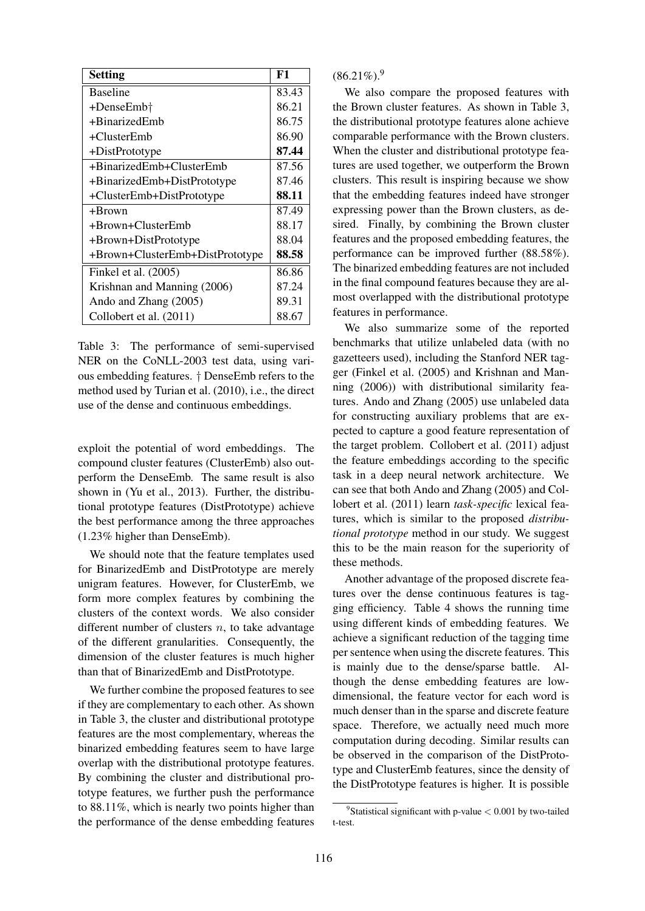| <b>Setting</b>                  | F1    |
|---------------------------------|-------|
| <b>Baseline</b>                 | 83.43 |
| +DenseEmb†                      | 86.21 |
| $+BinarizedEmb$                 | 86.75 |
| +ClusterEmb                     | 86.90 |
| +DistPrototype                  | 87.44 |
| +BinarizedEmb+ClusterEmb        | 87.56 |
| +BinarizedEmb+DistPrototype     | 87.46 |
| +ClusterEmb+DistPrototype       | 88.11 |
| +Brown                          | 87.49 |
| +Brown+ClusterEmb               | 88.17 |
| +Brown+DistPrototype            | 88.04 |
| +Brown+ClusterEmb+DistPrototype | 88.58 |
| Finkel et al. (2005)            | 86.86 |
| Krishnan and Manning (2006)     | 87.24 |
| Ando and Zhang (2005)           | 89.31 |
| Collobert et al. (2011)         | 88.67 |

Table 3: The performance of semi-supervised NER on the CoNLL-2003 test data, using various embedding features. † DenseEmb refers to the method used by Turian et al. (2010), i.e., the direct use of the dense and continuous embeddings.

exploit the potential of word embeddings. The compound cluster features (ClusterEmb) also outperform the DenseEmb. The same result is also shown in (Yu et al., 2013). Further, the distributional prototype features (DistPrototype) achieve the best performance among the three approaches (1.23% higher than DenseEmb).

We should note that the feature templates used for BinarizedEmb and DistPrototype are merely unigram features. However, for ClusterEmb, we form more complex features by combining the clusters of the context words. We also consider different number of clusters  $n$ , to take advantage of the different granularities. Consequently, the dimension of the cluster features is much higher than that of BinarizedEmb and DistPrototype.

We further combine the proposed features to see if they are complementary to each other. As shown in Table 3, the cluster and distributional prototype features are the most complementary, whereas the binarized embedding features seem to have large overlap with the distributional prototype features. By combining the cluster and distributional prototype features, we further push the performance to 88.11%, which is nearly two points higher than the performance of the dense embedding features

 $(86.21\%)$ .<sup>9</sup>

We also compare the proposed features with the Brown cluster features. As shown in Table 3, the distributional prototype features alone achieve comparable performance with the Brown clusters. When the cluster and distributional prototype features are used together, we outperform the Brown clusters. This result is inspiring because we show that the embedding features indeed have stronger expressing power than the Brown clusters, as desired. Finally, by combining the Brown cluster features and the proposed embedding features, the performance can be improved further (88.58%). The binarized embedding features are not included in the final compound features because they are almost overlapped with the distributional prototype features in performance.

We also summarize some of the reported benchmarks that utilize unlabeled data (with no gazetteers used), including the Stanford NER tagger (Finkel et al. (2005) and Krishnan and Manning (2006)) with distributional similarity features. Ando and Zhang (2005) use unlabeled data for constructing auxiliary problems that are expected to capture a good feature representation of the target problem. Collobert et al. (2011) adjust the feature embeddings according to the specific task in a deep neural network architecture. We can see that both Ando and Zhang (2005) and Collobert et al. (2011) learn *task-specific* lexical features, which is similar to the proposed *distributional prototype* method in our study. We suggest this to be the main reason for the superiority of these methods.

Another advantage of the proposed discrete features over the dense continuous features is tagging efficiency. Table 4 shows the running time using different kinds of embedding features. We achieve a significant reduction of the tagging time per sentence when using the discrete features. This is mainly due to the dense/sparse battle. Although the dense embedding features are lowdimensional, the feature vector for each word is much denser than in the sparse and discrete feature space. Therefore, we actually need much more computation during decoding. Similar results can be observed in the comparison of the DistPrototype and ClusterEmb features, since the density of the DistPrototype features is higher. It is possible

<sup>&</sup>lt;sup>9</sup>Statistical significant with p-value  $< 0.001$  by two-tailed t-test.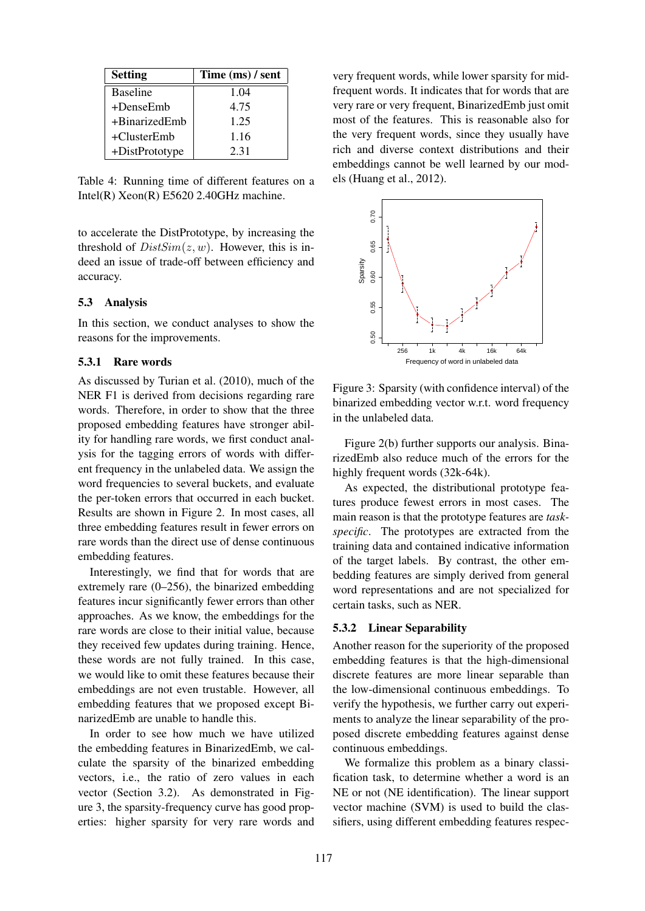| <b>Setting</b>  | Time (ms) / sent |  |
|-----------------|------------------|--|
| <b>Baseline</b> | 1.04             |  |
| +DenseEmb       | 4.75             |  |
| +BinarizedEmb   | 1.25             |  |
| $+ClusterEmb$   | 1.16             |  |
| +DistPrototype  | 2.31             |  |

Table 4: Running time of different features on a Intel(R) Xeon(R) E5620 2.40GHz machine.

to accelerate the DistPrototype, by increasing the threshold of  $DistSim(z, w)$ . However, this is indeed an issue of trade-off between efficiency and accuracy.

## 5.3 Analysis

In this section, we conduct analyses to show the reasons for the improvements.

# 5.3.1 Rare words

As discussed by Turian et al. (2010), much of the NER F1 is derived from decisions regarding rare words. Therefore, in order to show that the three proposed embedding features have stronger ability for handling rare words, we first conduct analysis for the tagging errors of words with different frequency in the unlabeled data. We assign the word frequencies to several buckets, and evaluate the per-token errors that occurred in each bucket. Results are shown in Figure 2. In most cases, all three embedding features result in fewer errors on rare words than the direct use of dense continuous embedding features.

Interestingly, we find that for words that are extremely rare (0–256), the binarized embedding features incur significantly fewer errors than other approaches. As we know, the embeddings for the rare words are close to their initial value, because they received few updates during training. Hence, these words are not fully trained. In this case, we would like to omit these features because their embeddings are not even trustable. However, all embedding features that we proposed except BinarizedEmb are unable to handle this.

In order to see how much we have utilized the embedding features in BinarizedEmb, we calculate the sparsity of the binarized embedding vectors, i.e., the ratio of zero values in each vector (Section 3.2). As demonstrated in Figure 3, the sparsity-frequency curve has good properties: higher sparsity for very rare words and

very frequent words, while lower sparsity for midfrequent words. It indicates that for words that are very rare or very frequent, BinarizedEmb just omit most of the features. This is reasonable also for the very frequent words, since they usually have rich and diverse context distributions and their embeddings cannot be well learned by our models (Huang et al., 2012).



Figure 3: Sparsity (with confidence interval) of the binarized embedding vector w.r.t. word frequency in the unlabeled data.

Figure 2(b) further supports our analysis. BinarizedEmb also reduce much of the errors for the highly frequent words (32k-64k).

As expected, the distributional prototype features produce fewest errors in most cases. The main reason is that the prototype features are *taskspecific*. The prototypes are extracted from the training data and contained indicative information of the target labels. By contrast, the other embedding features are simply derived from general word representations and are not specialized for certain tasks, such as NER.

#### 5.3.2 Linear Separability

Another reason for the superiority of the proposed embedding features is that the high-dimensional discrete features are more linear separable than the low-dimensional continuous embeddings. To verify the hypothesis, we further carry out experiments to analyze the linear separability of the proposed discrete embedding features against dense continuous embeddings.

We formalize this problem as a binary classification task, to determine whether a word is an NE or not (NE identification). The linear support vector machine (SVM) is used to build the classifiers, using different embedding features respec-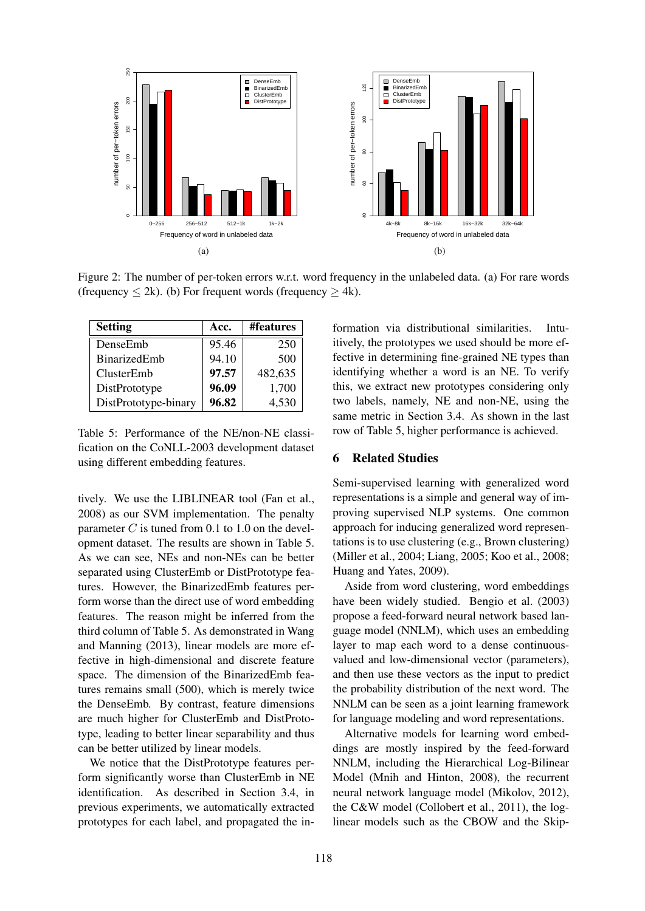

Figure 2: The number of per-token errors w.r.t. word frequency in the unlabeled data. (a) For rare words (frequency  $\leq$  2k). (b) For frequent words (frequency  $\geq$  4k).

| <b>Setting</b>       | Acc.  | #features |
|----------------------|-------|-----------|
| DenseEmb             | 95.46 | 250       |
| BinarizedEmb         | 94.10 | 500       |
| ClusterEmb           | 97.57 | 482,635   |
| DistPrototype        | 96.09 | 1,700     |
| DistPrototype-binary | 96.82 | 4,530     |

Table 5: Performance of the NE/non-NE classification on the CoNLL-2003 development dataset using different embedding features.

tively. We use the LIBLINEAR tool (Fan et al., 2008) as our SVM implementation. The penalty parameter  $C$  is tuned from 0.1 to 1.0 on the development dataset. The results are shown in Table 5. As we can see, NEs and non-NEs can be better separated using ClusterEmb or DistPrototype features. However, the BinarizedEmb features perform worse than the direct use of word embedding features. The reason might be inferred from the third column of Table 5. As demonstrated in Wang and Manning (2013), linear models are more effective in high-dimensional and discrete feature space. The dimension of the BinarizedEmb features remains small (500), which is merely twice the DenseEmb. By contrast, feature dimensions are much higher for ClusterEmb and DistPrototype, leading to better linear separability and thus can be better utilized by linear models.

We notice that the DistPrototype features perform significantly worse than ClusterEmb in NE identification. As described in Section 3.4, in previous experiments, we automatically extracted prototypes for each label, and propagated the information via distributional similarities. Intuitively, the prototypes we used should be more effective in determining fine-grained NE types than identifying whether a word is an NE. To verify this, we extract new prototypes considering only two labels, namely, NE and non-NE, using the same metric in Section 3.4. As shown in the last row of Table 5, higher performance is achieved.

# 6 Related Studies

Semi-supervised learning with generalized word representations is a simple and general way of improving supervised NLP systems. One common approach for inducing generalized word representations is to use clustering (e.g., Brown clustering) (Miller et al., 2004; Liang, 2005; Koo et al., 2008; Huang and Yates, 2009).

Aside from word clustering, word embeddings have been widely studied. Bengio et al. (2003) propose a feed-forward neural network based language model (NNLM), which uses an embedding layer to map each word to a dense continuousvalued and low-dimensional vector (parameters), and then use these vectors as the input to predict the probability distribution of the next word. The NNLM can be seen as a joint learning framework for language modeling and word representations.

Alternative models for learning word embeddings are mostly inspired by the feed-forward NNLM, including the Hierarchical Log-Bilinear Model (Mnih and Hinton, 2008), the recurrent neural network language model (Mikolov, 2012), the C&W model (Collobert et al., 2011), the loglinear models such as the CBOW and the Skip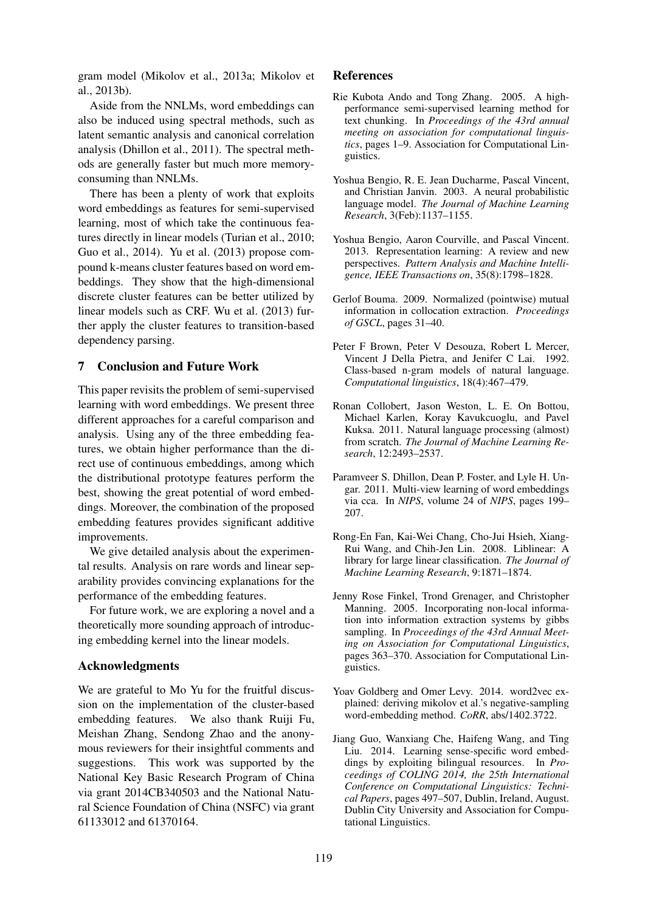gram model (Mikolov et al., 2013a; Mikolov et al., 2013b).

Aside from the NNLMs, word embeddings can also be induced using spectral methods, such as latent semantic analysis and canonical correlation analysis (Dhillon et al., 2011). The spectral methods are generally faster but much more memoryconsuming than NNLMs.

There has been a plenty of work that exploits word embeddings as features for semi-supervised learning, most of which take the continuous features directly in linear models (Turian et al., 2010; Guo et al., 2014). Yu et al. (2013) propose compound k-means cluster features based on word embeddings. They show that the high-dimensional discrete cluster features can be better utilized by linear models such as CRF. Wu et al. (2013) further apply the cluster features to transition-based dependency parsing.

# 7 Conclusion and Future Work

This paper revisits the problem of semi-supervised learning with word embeddings. We present three different approaches for a careful comparison and analysis. Using any of the three embedding features, we obtain higher performance than the direct use of continuous embeddings, among which the distributional prototype features perform the best, showing the great potential of word embeddings. Moreover, the combination of the proposed embedding features provides significant additive improvements.

We give detailed analysis about the experimental results. Analysis on rare words and linear separability provides convincing explanations for the performance of the embedding features.

For future work, we are exploring a novel and a theoretically more sounding approach of introducing embedding kernel into the linear models.

# Acknowledgments

We are grateful to Mo Yu for the fruitful discussion on the implementation of the cluster-based embedding features. We also thank Ruiji Fu, Meishan Zhang, Sendong Zhao and the anonymous reviewers for their insightful comments and suggestions. This work was supported by the National Key Basic Research Program of China via grant 2014CB340503 and the National Natural Science Foundation of China (NSFC) via grant 61133012 and 61370164.

## References

- Rie Kubota Ando and Tong Zhang. 2005. A highperformance semi-supervised learning method for text chunking. In *Proceedings of the 43rd annual meeting on association for computational linguistics*, pages 1–9. Association for Computational Linguistics.
- Yoshua Bengio, R. E. Jean Ducharme, Pascal Vincent, and Christian Janvin. 2003. A neural probabilistic language model. *The Journal of Machine Learning Research*, 3(Feb):1137–1155.
- Yoshua Bengio, Aaron Courville, and Pascal Vincent. 2013. Representation learning: A review and new perspectives. *Pattern Analysis and Machine Intelligence, IEEE Transactions on*, 35(8):1798–1828.
- Gerlof Bouma. 2009. Normalized (pointwise) mutual information in collocation extraction. *Proceedings of GSCL*, pages 31–40.
- Peter F Brown, Peter V Desouza, Robert L Mercer, Vincent J Della Pietra, and Jenifer C Lai. 1992. Class-based n-gram models of natural language. *Computational linguistics*, 18(4):467–479.
- Ronan Collobert, Jason Weston, L. E. On Bottou, Michael Karlen, Koray Kavukcuoglu, and Pavel Kuksa. 2011. Natural language processing (almost) from scratch. *The Journal of Machine Learning Research*, 12:2493–2537.
- Paramveer S. Dhillon, Dean P. Foster, and Lyle H. Ungar. 2011. Multi-view learning of word embeddings via cca. In *NIPS*, volume 24 of *NIPS*, pages 199– 207.
- Rong-En Fan, Kai-Wei Chang, Cho-Jui Hsieh, Xiang-Rui Wang, and Chih-Jen Lin. 2008. Liblinear: A library for large linear classification. *The Journal of Machine Learning Research*, 9:1871–1874.
- Jenny Rose Finkel, Trond Grenager, and Christopher Manning. 2005. Incorporating non-local information into information extraction systems by gibbs sampling. In *Proceedings of the 43rd Annual Meeting on Association for Computational Linguistics*, pages 363–370. Association for Computational Linguistics.
- Yoav Goldberg and Omer Levy. 2014. word2vec explained: deriving mikolov et al.'s negative-sampling word-embedding method. *CoRR*, abs/1402.3722.
- Jiang Guo, Wanxiang Che, Haifeng Wang, and Ting Liu. 2014. Learning sense-specific word embeddings by exploiting bilingual resources. In *Proceedings of COLING 2014, the 25th International Conference on Computational Linguistics: Technical Papers*, pages 497–507, Dublin, Ireland, August. Dublin City University and Association for Computational Linguistics.